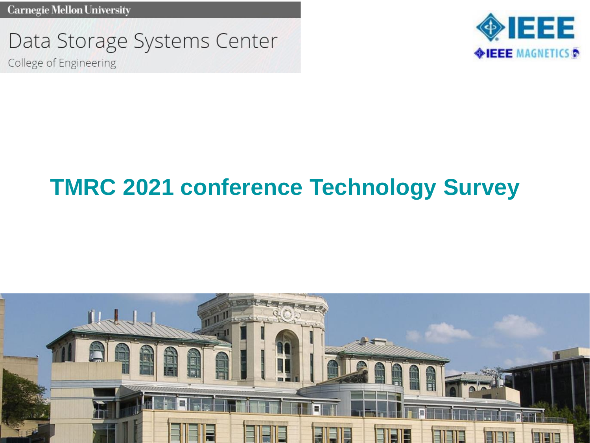**Carnegie Mellon University** 

Data Storage Systems Center College of Engineering



## **TMRC 2021 conference Technology Survey**

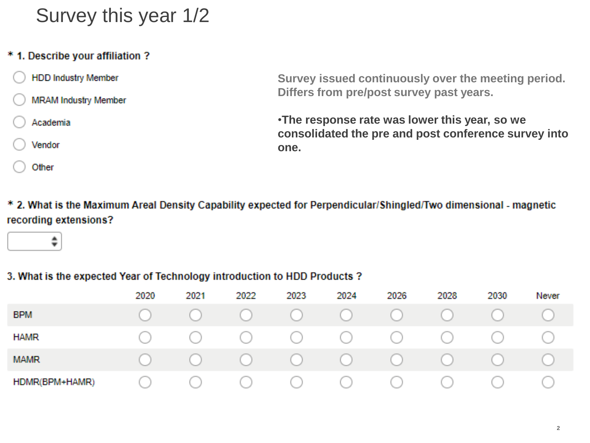### Survey this year 1/2

\* 1. Describe your affiliation ?

| <b>HDD Industry Member</b>  | Survey issued continuously over the meeting period.          |
|-----------------------------|--------------------------------------------------------------|
| <b>MRAM Industry Member</b> | Differs from pre/post survey past years.                     |
| Academia                    | •The response rate was lower this year, so we                |
| Vendor                      | consolidated the pre and post conference survey into<br>one. |
| Other                       |                                                              |

\* 2. What is the Maximum Areal Density Capability expected for Perpendicular/Shingled/Two dimensional - magnetic recording extensions?

÷

### 3. What is the expected Year of Technology introduction to HDD Products?

|                | 2020 | 2021 | 2022 | 2023 | 2024 | 2026                                                            | 2028 | 2030 | Never |
|----------------|------|------|------|------|------|-----------------------------------------------------------------|------|------|-------|
| <b>BPM</b>     |      |      |      |      |      | $\begin{matrix} 0 & 0 & 0 & 0 & 0 & 0 & 0 & 0 & 0 \end{matrix}$ |      |      |       |
| <b>HAMR</b>    |      |      |      |      |      | 0 0 0 0 0 0 0 0 0                                               |      |      |       |
| <b>MAMR</b>    |      |      |      |      |      | $\begin{matrix} 0 & 0 & 0 & 0 & 0 & 0 & 0 & 0 & 0 \end{matrix}$ |      |      |       |
| HDMR(BPM+HAMR) |      |      |      |      |      | 0 0 0 0 0 0 0 0 0                                               |      |      |       |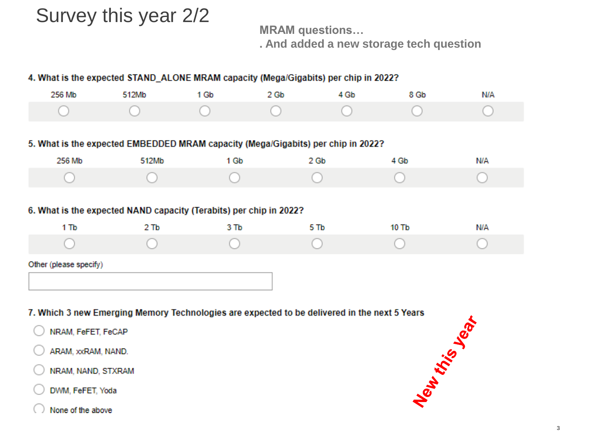### Survey this year 2/2

**MRAM questions… . And added a new storage tech question**

#### 4. What is the expected STAND\_ALONE MRAM capacity (Mega/Gigabits) per chip in 2022?

| 256 Mb | 512Mb | Gb | ' Gb | 4 Gb | 8 Gb | <b>N/A</b> |
|--------|-------|----|------|------|------|------------|
|        |       |    |      |      |      |            |

#### 5. What is the expected EMBEDDED MRAM capacity (Mega/Gigabits) per chip in 2022?

| 256 Mb | 512Mb | Gb | ? Gb | i Gb | NΙA |
|--------|-------|----|------|------|-----|
|        |       |    |      |      |     |

#### 6. What is the expected NAND capacity (Terabits) per chip in 2022?

| 1 Tb | $2$ Tb | $3$ Tb | 5Tb | <b>10 Tb</b> | <b>N/A</b> |
|------|--------|--------|-----|--------------|------------|
|      |        |        |     |              |            |

#### Other (please specify)

7. Which 3 new Emerging Memory Technologies are expected to be delivered in the next 5 Years

- NRAM, FeFET, FeCAP
- ARAM, xxRAM, NAND.
- NRAM, NAND, STXRAM



None of the above

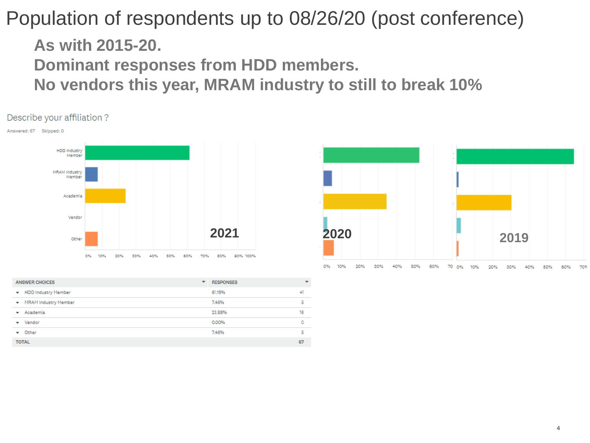Population of respondents up to 08/26/20 (post conference)

**As with 2015-20. Dominant responses from HDD members. No vendors this year, MRAM industry to still to break 10%**

#### Describe your affiliation?



| 2021            | 2020                                         | 2019                                                   |
|-----------------|----------------------------------------------|--------------------------------------------------------|
| 80%<br>90% 100% | 10%<br>0%<br>20%<br>50%<br>60%<br>30%<br>40% | 70' 0%<br>10%<br>20%<br>30%<br>70<br>40%<br>60%<br>50% |

| <b>ANSWER CHOICES</b>          | ▼ | <b>RESPONSES</b> | $\overline{\phantom{0}}$ |
|--------------------------------|---|------------------|--------------------------|
| + HDD Industry Member          |   | 61.19%           | 41                       |
| ▼ MRAM Industry Member         |   | 7.46%            | Б                        |
| $\blacktriangleright$ Academia |   | 23.88%           | 16                       |
| $\blacktriangleright$ Vendor   |   | 0.00%            | O                        |
| $\bullet$ Other                |   | 7.46%            | 5                        |
| <b>TOTAL</b>                   |   |                  | 67                       |
|                                |   |                  |                          |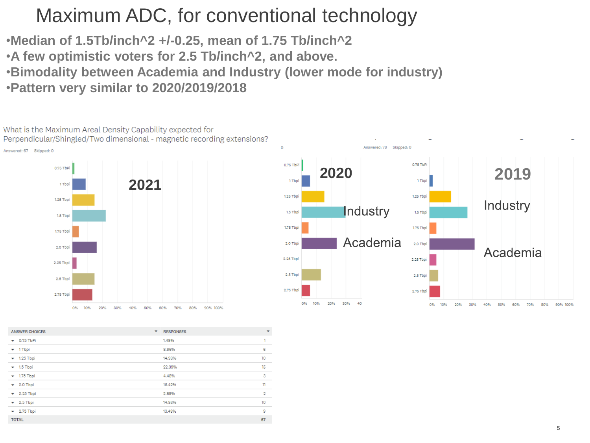### Maximum ADC, for conventional technology

•**Median of 1.5Tb/inch^2 +/-0.25, mean of 1.75 Tb/inch^2**

•**A few optimistic voters for 2.5 Tb/inch^2, and above.** 

•**Bimodality between Academia and Industry (lower mode for industry)** •**Pattern very similar to 2020/2019/2018**

What is the Maximum Areal Density Capability expected for Perpendicular/Shingled/Two dimensional - magnetic recording extensions?  $\circ$ Answered: 67 Skipped: 0 0.75 TbP 1 Thp 1.25 Tbp 1.25 Tbpi 1.5 Tbp 1.5 Tbp 1.75 Tbpi 1.75 Tbpi 2.0 Tbp 2.0 Tbpi 2.25 Tbpi 2.25 Tbpi 2.5 Tbp  $2.5$  Tho 2.75 Tbpi 2.75 Tbpi 0% 10% 20% 30% 0% 10% 20% 30% 40% 50% 60% 70% 80% 9054-10059



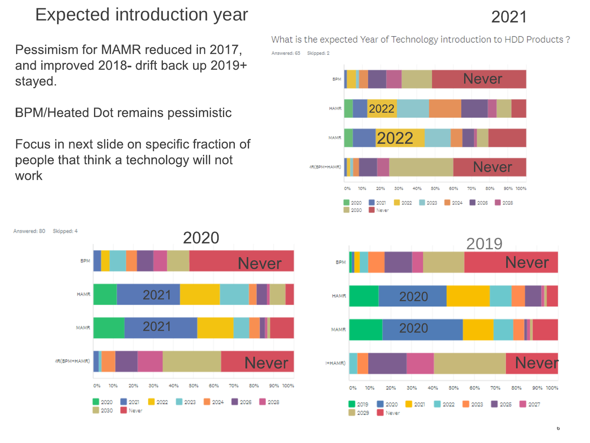### **Expected introduction year**

Pessimism for MAMR reduced in 2017, and improved 2018- drift back up 2019+ stayed.

**BPM/Heated Dot remains pessimistic** 

Focus in next slide on specific fraction of people that think a technology will not work



What is the expected Year of Technology introduction to HDD Products?

2021





6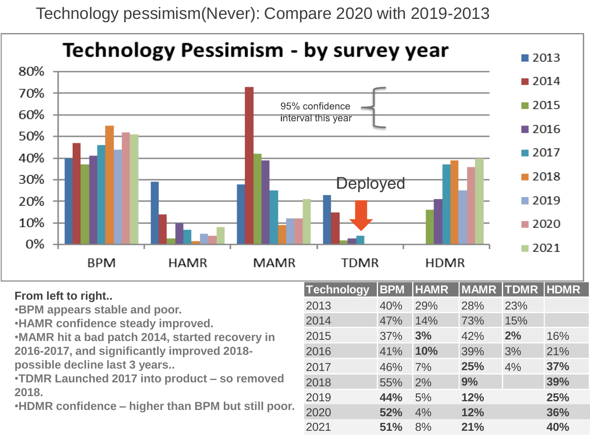Technology pessimism(Never): Compare 2020 with 2019-2013



### **From left to right..**

•**BPM appears stable and poor.**

•**HAMR confidence steady improved.**

| om left to right                                 | Technology BPM HAMR MAMR TDMR HDMR |     |     |     |     |     |
|--------------------------------------------------|------------------------------------|-----|-----|-----|-----|-----|
| PM appears stable and poor.                      | 2013                               | 40% | 29% | 28% | 23% |     |
| <b>AMR confidence steady improved.</b>           | 2014                               | 47% | 14% | 73% | 15% |     |
| IAMR hit a bad patch 2014, started recovery in   | 2015                               | 37% | 3%  | 42% | 2%  | 16% |
| 16-2017, and significantly improved 2018-        | 2016                               | 41% | 10% | 39% | 3%  | 21% |
| <b>Sassible decline last 3 years</b>             | 2017                               | 46% | 7%  | 25% | 4%  | 37% |
| DMR Launched 2017 into product - so removed      | 2018                               | 55% | 2%  | 9%  |     | 39% |
| 18.                                              | 2019                               | 44% | 5%  | 12% |     | 25% |
| DMR confidence - higher than BPM but still poor. | 2020                               | 52% | 4%  | 12% |     | 36% |
|                                                  | 2021                               | 51% | 8%  | 21% |     | 40% |
|                                                  |                                    |     |     |     |     |     |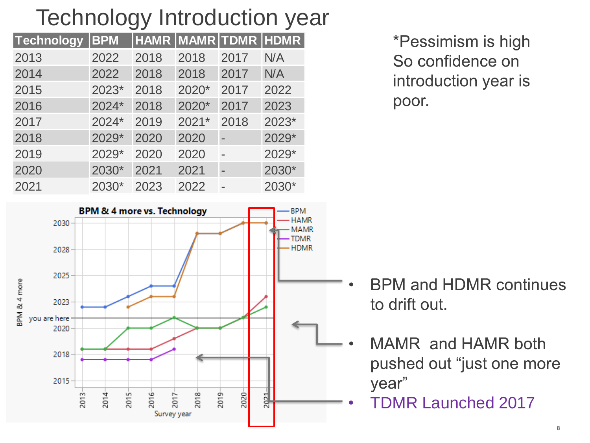# Technology Introduction year

| <b>Technology</b> | <b>BPM</b> | HAMR MAMR TDMR HDMR |         |      |       |
|-------------------|------------|---------------------|---------|------|-------|
| 2013              | 2022       | 2018                | 2018    | 2017 | N/A   |
| 2014              | 2022       | 2018                | 2018    | 2017 | N/A   |
| 2015              | 2023*      | 2018                | 2020*   | 2017 | 2022  |
| 2016              | 2024*      | 2018                | 2020*   | 2017 | 2023  |
| 2017              | 2024*      | 2019                | $2021*$ | 2018 | 2023* |
| 2018              | 2029*      | 2020                | 2020    |      | 2029* |
| 2019              | 2029*      | 2020                | 2020    |      | 2029* |
| 2020              | 2030*      | 2021                | 2021    |      | 2030* |
| 2021              | $2030*$    | 2023                | 2022    |      | 2030* |

*\*Pessimism is high* So confidence on introduction year is poor.



- **BPM and HDMR continues** to drift out.
- MAMR and HAMR both pushed out "just one more year"
	- TDMR Launched 2017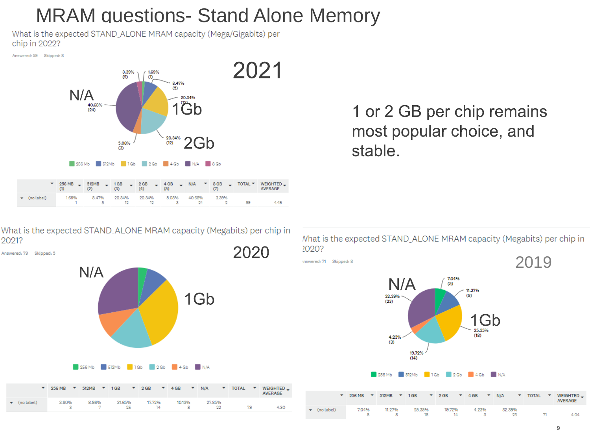### MRAM questions- Stand Alone Memory

What is the expected STAND\_ALONE MRAM capacity (Mega/Gigabits) per chip in 2022?

Answered: 59 Skipped: 8



|                      |       |                     | (3)                | (4) | (5)   |              | $\sqrt{7}$ |    | ▼ 256 MB J 512MB J 1GB J 2GB J 4GB J N/A Y 8GB J TOTAL Y WEIGHTED J<br>AVERAGE |
|----------------------|-------|---------------------|--------------------|-----|-------|--------------|------------|----|--------------------------------------------------------------------------------|
| $\bullet$ (no label) | 1.69% | 8.47% 20.34% 20.34% | <b>EXECUTER 19</b> | 19  | 5.08% | 40.68% 3.39% |            | 59 |                                                                                |

#### What is the expected STAND ALONE MRAM capacity (Megabits) per chip in 2021?

Answered: 79 Skipped: 5



256 Mb 512Mb 1Gb 2Gb 4Gb N/A

|   |            | 256 MB<br>$\mathbf{v}$ | 512MB | $\sqrt{1}$ 1 GB | $\sqrt{2}$ GB | $-4GB$<br>$\mathbf{v}$ | N/A<br>▼           | <b>TOTAL</b><br>▼ | WEIGHTED _<br><b>AVERAGE</b> |
|---|------------|------------------------|-------|-----------------|---------------|------------------------|--------------------|-------------------|------------------------------|
| ▼ | (no label) | 3.80%                  | 8.86% | 31.65%<br>25    | 17.72%<br>14  | 10.13%                 | 27.85%<br>00<br>-- | 79.               | 4,30                         |

1 or 2 GB per chip remains most popular choice, and stable.

What is the expected STAND\_ALONE MRAM capacity (Megabits) per chip in 2020?

unswered: 71 Skipped: 8

2020

2019



256 Mb 512Mb 1Gb 2Gb 4Gb N/A

|                      | $-256 MB$<br>$\overline{\phantom{a}}$ | 512MB  | $\sqrt{1}$ 1 GB | $\sqrt{2}$ GB | $\sqrt{4}$ GB<br><b>STATE</b> | N/A<br>▼     | <b>TOTAL</b><br>▼ | WEIGHTED _<br><b>AVERAGE</b> |
|----------------------|---------------------------------------|--------|-----------------|---------------|-------------------------------|--------------|-------------------|------------------------------|
| $\bullet$ (no label) | 7.04%<br>m.                           | 11.27% | 25.35%          | 19.72%        | 4.23%                         | 32.39%<br>02 |                   | 4.04                         |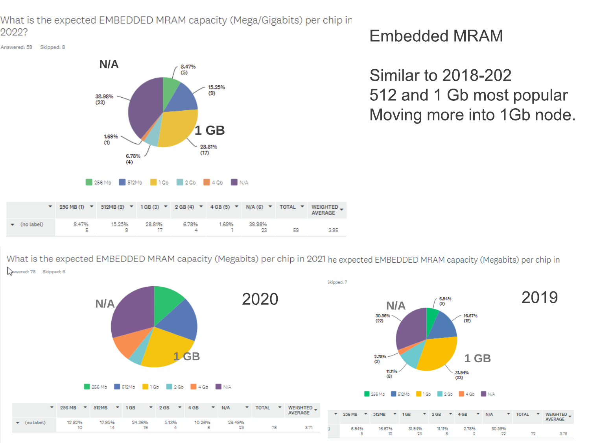What is the expected EMBEDDED MRAM capacity (Mega/Gigabits) per chip in 2022?

Answered: 59 Skipped: 8

v (no label)

8.47%

Б

15.25%

9



28.81%

17

6.78%

 $\Delta$ 

1.69%

 $\mathbf{1}$ 

38.98%

23

**Embedded MRAM** 

Similar to 2018-202 512 and 1 Gb most popular Moving more into 1Gb node.

What is the expected EMBEDDED MRAM capacity (Megabits) per chip in 2021 he expected EMBEDDED MRAM capacity (Megabits) per chip in Skipped: 78 Skipped: 6

TOTAL **v** 

59

WEIGHTED

3.95

AVERAGE

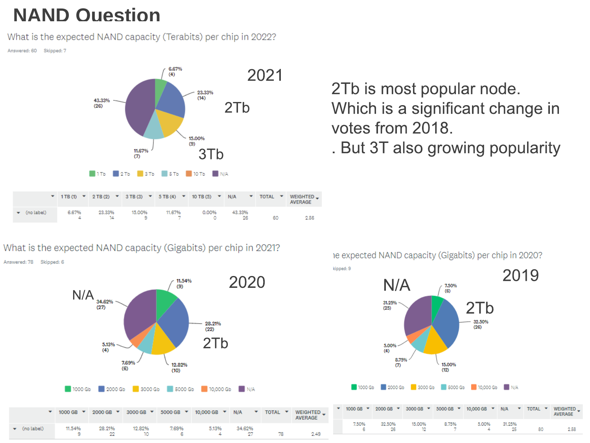### **NAND Question**

What is the expected NAND capacity (Terabits) per chip in 2022?

Answered: 60 Skipped: 7

(no label)



2Tb is most popular node. Which is a significant change in votes from 2018.

. But 3T also growing popularity

|            |       |        |        |        | $\blacktriangleright$ 1 TB(1) $\blacktriangleright$ 2 TB(2) $\blacktriangleright$ 3 TB(3) $\blacktriangleright$ 5 TB(4) $\blacktriangleright$ 10 TB(5) $\blacktriangleright$ N/A | $\mathbf{v}$  | TOTAL <b>T</b> | WEIGHTED _<br>AVERAGE |
|------------|-------|--------|--------|--------|----------------------------------------------------------------------------------------------------------------------------------------------------------------------------------|---------------|----------------|-----------------------|
| (no label) | 6.67% | 23.33% | 15.00% | 11.67% | 0.00%                                                                                                                                                                            | 43.33%<br>96. | 60             | 2.56                  |

#### What is the expected NAND capacity (Gigabits) per chip in 2021? Answered: 78 Skipped: 6



WEIGHTED

2.49

6

26

 $12$ 

**AVERAGE** 

78

ie expected NAND capacity (Gigabits) per chip in 2020?



80

2.58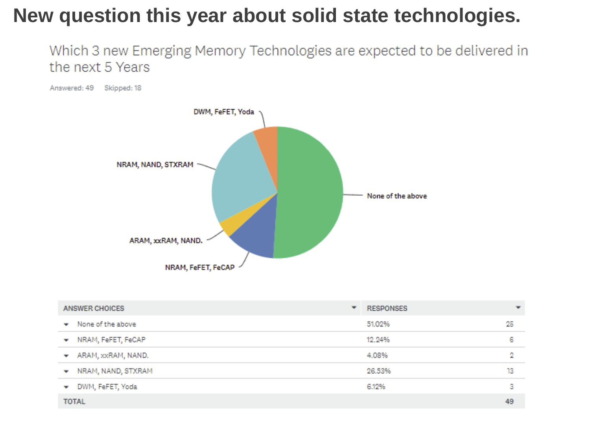### **New question this year about solid state technologies.**

Which 3 new Emerging Memory Technologies are expected to be delivered in the next 5 Years



| ANSWER CHOICES<br>▼                         |  | <b>RESPONSES</b> | $\overline{\phantom{a}}$ |  |
|---------------------------------------------|--|------------------|--------------------------|--|
| None of the above<br>▼                      |  | 51.02%           | 25                       |  |
| ▼ NRAM, FeFET, FeCAP                        |  | 12.24%           | 6                        |  |
| $\blacktriangleright$ ARAM, $xx$ RAM, NAND. |  | 4.08%            | 2                        |  |
| $\blacktriangleright$ NRAM, NAND, STXRAM    |  | 26.53%           | 13                       |  |
| DWM, FeFET, Yoda<br>▼                       |  | 6.12%            | з                        |  |
| <b>TOTAL</b>                                |  |                  |                          |  |